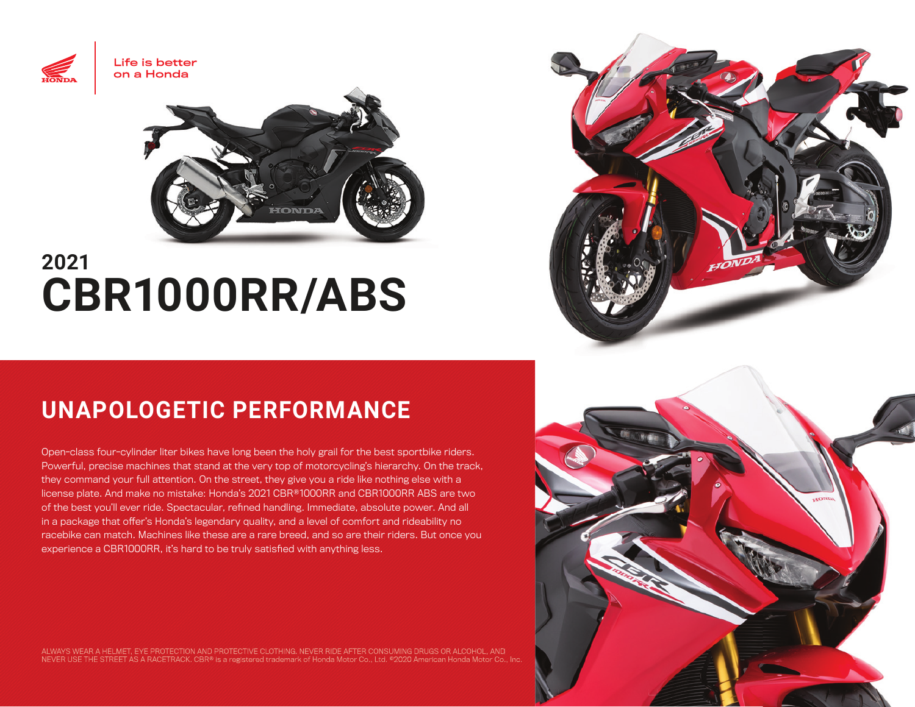



# **2021 CBR1000RR/ABS**

## **UNAPOLOGETIC PERFORMANCE**

Open-class four-cylinder liter bikes have long been the holy grail for the best sportbike riders. Powerful, precise machines that stand at the very top of motorcycling's hierarchy. On the track, they command your full attention. On the street, they give you a ride like nothing else with a license plate. And make no mistake: Honda's 2021 CBR®1000RR and CBR1000RR ABS are two of the best you'll ever ride. Spectacular, refined handling. Immediate, absolute power. And all in a package that offer's Honda's legendary quality, and a level of comfort and rideability no racebike can match. Machines like these are a rare breed, and so are their riders. But once you experience a CBR1000RR, it's hard to be truly satisfied with anything less.

ALWAYS WEAR A HELMET, EYE PROTECTION AND PROTECTIVE CLOTHING. NEVER RIDE AFTER CONSUMING DRUGS OR ALCOHOL, AND<br>NEVER USE THE STREET AS A RACETRACK. CBR® is a registered trademark of Honda Motor Co., Ltd. ©2020 American Ho